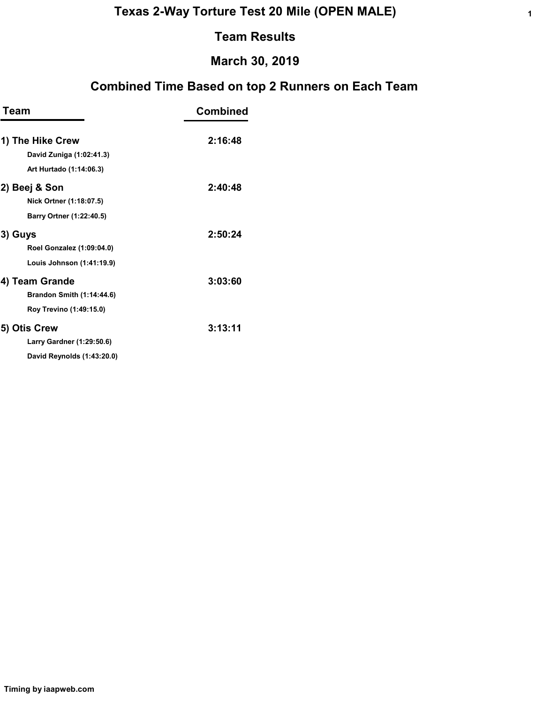## March 30, 2019

| <b>Team</b>                      | <b>Combined</b> |
|----------------------------------|-----------------|
| 1) The Hike Crew                 | 2:16:48         |
| David Zuniga (1:02:41.3)         |                 |
| Art Hurtado (1:14:06.3)          |                 |
| 2) Beej & Son                    | 2:40:48         |
| Nick Ortner (1:18:07.5)          |                 |
| Barry Ortner (1:22:40.5)         |                 |
| 3) Guys                          | 2:50:24         |
| Roel Gonzalez (1:09:04.0)        |                 |
| Louis Johnson (1:41:19.9)        |                 |
| 4) Team Grande                   | 3:03:60         |
| <b>Brandon Smith (1:14:44.6)</b> |                 |
| Roy Trevino (1:49:15.0)          |                 |
| 5) Otis Crew                     | 3:13:11         |
| Larry Gardner (1:29:50.6)        |                 |
| David Reynolds (1:43:20.0)       |                 |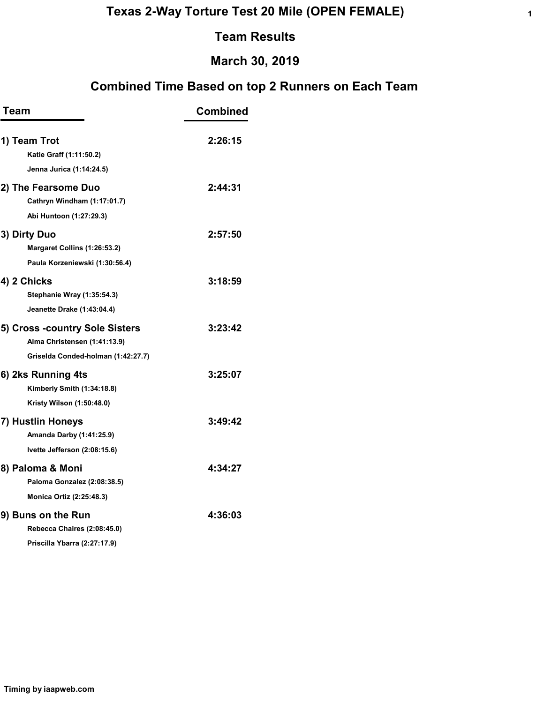## March 30, 2019

| <b>Team</b>                                                                                          | <b>Combined</b> |
|------------------------------------------------------------------------------------------------------|-----------------|
| 1) Team Trot<br>Katie Graff (1:11:50.2)                                                              | 2:26:15         |
| Jenna Jurica (1:14:24.5)                                                                             |                 |
| 2) The Fearsome Duo<br>Cathryn Windham (1:17:01.7)                                                   | 2:44:31         |
| Abi Huntoon (1:27:29.3)                                                                              |                 |
| 3) Dirty Duo<br>Margaret Collins (1:26:53.2)<br>Paula Korzeniewski (1:30:56.4)                       | 2:57:50         |
| 4) 2 Chicks<br>Stephanie Wray (1:35:54.3)                                                            | 3:18:59         |
| Jeanette Drake (1:43:04.4)                                                                           |                 |
| 5) Cross -country Sole Sisters<br>Alma Christensen (1:41:13.9)<br>Griselda Conded-holman (1:42:27.7) | 3:23:42         |
| 6) 2ks Running 4ts<br>Kimberly Smith (1:34:18.8)<br>Kristy Wilson (1:50:48.0)                        | 3:25:07         |
| 7) Hustlin Honeys<br>Amanda Darby (1:41:25.9)<br>Ivette Jefferson (2:08:15.6)                        | 3:49:42         |
| 8) Paloma & Moni<br>Paloma Gonzalez (2:08:38.5)<br><b>Monica Ortiz (2:25:48.3)</b>                   | 4:34:27         |
| 9) Buns on the Run<br>Rebecca Chaires (2:08:45.0)<br>Priscilla Ybarra (2:27:17.9)                    | 4:36:03         |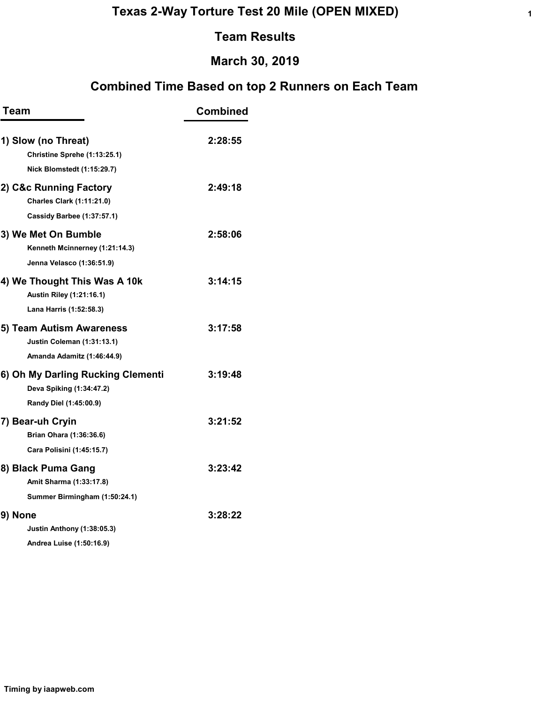# March 30, 2019

| Team                                                            | <b>Combined</b> |
|-----------------------------------------------------------------|-----------------|
| 1) Slow (no Threat)<br>Christine Sprehe (1:13:25.1)             | 2:28:55         |
| Nick Blomstedt (1:15:29.7)                                      |                 |
| 2) C&c Running Factory<br><b>Charles Clark (1:11:21.0)</b>      | 2:49:18         |
| Cassidy Barbee (1:37:57.1)                                      |                 |
| 3) We Met On Bumble<br>Kenneth Mcinnerney (1:21:14.3)           | 2:58:06         |
| Jenna Velasco (1:36:51.9)                                       |                 |
| 4) We Thought This Was A 10k<br><b>Austin Riley (1:21:16.1)</b> | 3:14:15         |
| Lana Harris (1:52:58.3)                                         |                 |
| 5) Team Autism Awareness<br><b>Justin Coleman (1:31:13.1)</b>   | 3:17:58         |
| Amanda Adamitz (1:46:44.9)                                      |                 |
| 6) Oh My Darling Rucking Clementi<br>Deva Spiking (1:34:47.2)   | 3:19:48         |
| Randy Diel (1:45:00.9)                                          |                 |
| 7) Bear-uh Cryin                                                | 3:21:52         |
| Brian Ohara (1:36:36.6)                                         |                 |
| Cara Polisini (1:45:15.7)                                       |                 |
| 8) Black Puma Gang                                              | 3:23:42         |
| Amit Sharma (1:33:17.8)                                         |                 |
| Summer Birmingham (1:50:24.1)                                   |                 |
| 9) None                                                         | 3:28:22         |
| <b>Justin Anthony (1:38:05.3)</b>                               |                 |
| Andrea Luise (1:50:16.9)                                        |                 |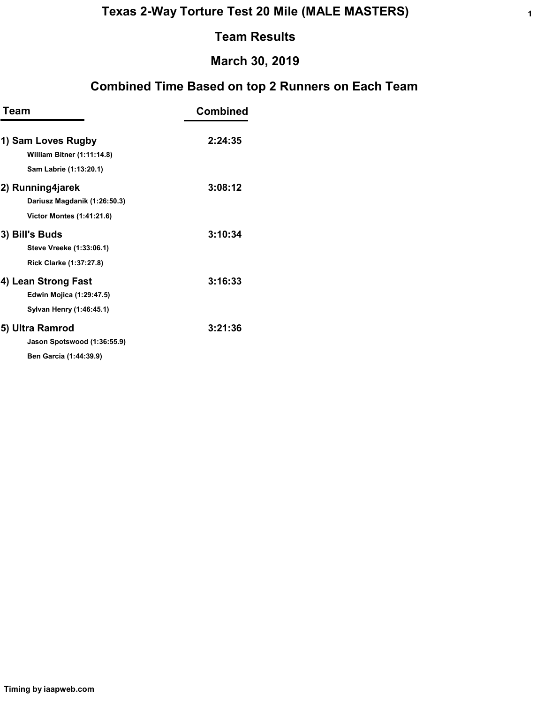## March 30, 2019

| Team                              | <b>Combined</b> |  |  |  |  |
|-----------------------------------|-----------------|--|--|--|--|
| 1) Sam Loves Rugby                | 2:24:35         |  |  |  |  |
| <b>William Bitner (1:11:14.8)</b> |                 |  |  |  |  |
| Sam Labrie (1:13:20.1)            |                 |  |  |  |  |
| 2) Running4jarek                  | 3:08:12         |  |  |  |  |
| Dariusz Magdanik (1:26:50.3)      |                 |  |  |  |  |
| <b>Victor Montes (1:41:21.6)</b>  |                 |  |  |  |  |
| 3) Bill's Buds                    | 3:10:34         |  |  |  |  |
| Steve Vreeke (1:33:06.1)          |                 |  |  |  |  |
| Rick Clarke (1:37:27.8)           |                 |  |  |  |  |
| 4) Lean Strong Fast               | 3:16:33         |  |  |  |  |
| <b>Edwin Mojica (1:29:47.5)</b>   |                 |  |  |  |  |
| Sylvan Henry (1:46:45.1)          |                 |  |  |  |  |
| 5) Ultra Ramrod                   | 3:21:36         |  |  |  |  |
| Jason Spotswood (1:36:55.9)       |                 |  |  |  |  |
| <b>Ben Garcia (1:44:39.9)</b>     |                 |  |  |  |  |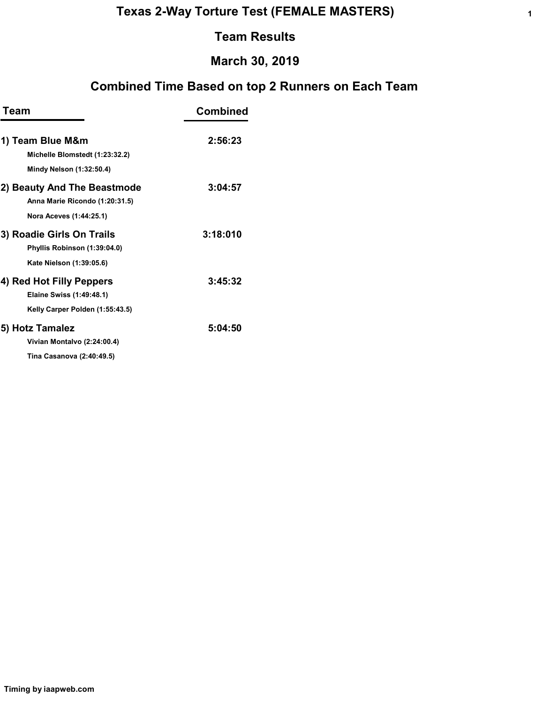# March 30, 2019

| Team                            | <b>Combined</b> |  |  |  |
|---------------------------------|-----------------|--|--|--|
| 1) Team Blue M&m                | 2:56:23         |  |  |  |
| Michelle Blomstedt (1:23:32.2)  |                 |  |  |  |
| Mindy Nelson (1:32:50.4)        |                 |  |  |  |
| 2) Beauty And The Beastmode     | 3:04:57         |  |  |  |
| Anna Marie Ricondo (1:20:31.5)  |                 |  |  |  |
| Nora Aceves (1:44:25.1)         |                 |  |  |  |
| 3) Roadie Girls On Trails       | 3:18:010        |  |  |  |
| Phyllis Robinson (1:39:04.0)    |                 |  |  |  |
| Kate Nielson (1:39:05.6)        |                 |  |  |  |
| 4) Red Hot Filly Peppers        | 3:45:32         |  |  |  |
| Elaine Swiss (1:49:48.1)        |                 |  |  |  |
| Kelly Carper Polden (1:55:43.5) |                 |  |  |  |
| 5) Hotz Tamalez                 | 5:04:50         |  |  |  |
| Vivian Montalvo (2:24:00.4)     |                 |  |  |  |
| Tina Casanova (2:40:49.5)       |                 |  |  |  |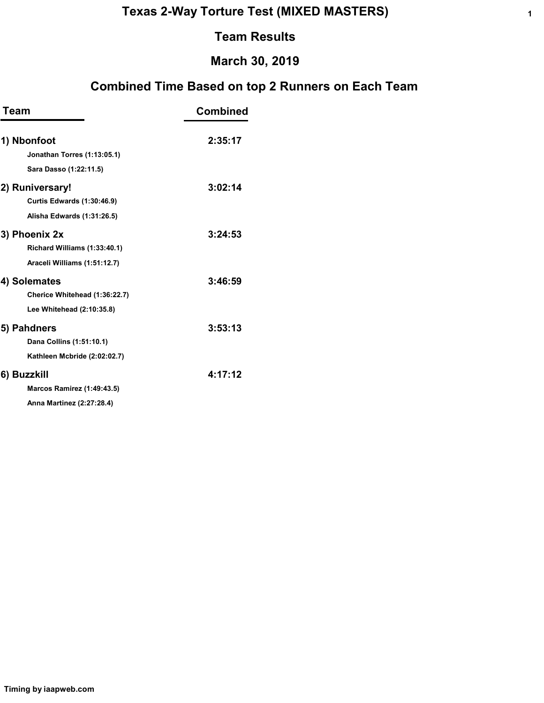1

#### Team Results

### March 30, 2019

| Team                                       | <b>Combined</b> |
|--------------------------------------------|-----------------|
| 1) Nbonfoot<br>Jonathan Torres (1:13:05.1) | 2:35:17         |
| Sara Dasso (1:22:11.5)                     |                 |
| 2) Runiversary!                            | 3:02:14         |
| <b>Curtis Edwards (1:30:46.9)</b>          |                 |
| Alisha Edwards (1:31:26.5)                 |                 |
| 3) Phoenix 2x                              | 3:24:53         |
| Richard Williams (1:33:40.1)               |                 |
| Araceli Williams (1:51:12.7)               |                 |
| 4) Solemates                               | 3:46:59         |
| Cherice Whitehead (1:36:22.7)              |                 |
| Lee Whitehead (2:10:35.8)                  |                 |
| 5) Pahdners                                | 3:53:13         |
| Dana Collins (1:51:10.1)                   |                 |
| Kathleen Mcbride (2:02:02.7)               |                 |
| 6) Buzzkill                                | 4:17:12         |
| Marcos Ramirez (1:49:43.5)                 |                 |
| Anna Martinez (2:27:28.4)                  |                 |